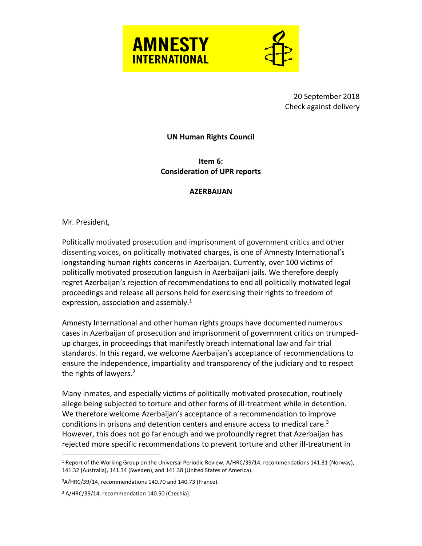



20 September 2018 Check against delivery

## **UN Human Rights Council**

**Item 6: Consideration of UPR reports**

## **AZERBAIJAN**

Mr. President,

 $\overline{a}$ 

Politically motivated prosecution and imprisonment of government critics and other dissenting voices, on politically motivated charges, is one of Amnesty International's longstanding human rights concerns in Azerbaijan. Currently, over 100 victims of politically motivated prosecution languish in Azerbaijani jails. We therefore deeply regret Azerbaijan's rejection of recommendations to end all politically motivated legal proceedings and release all persons held for exercising their rights to freedom of expression, association and assembly.<sup>1</sup>

Amnesty International and other human rights groups have documented numerous cases in Azerbaijan of prosecution and imprisonment of government critics on trumpedup charges, in proceedings that manifestly breach international law and fair trial standards. In this regard, we welcome Azerbaijan's acceptance of recommendations to ensure the independence, impartiality and transparency of the judiciary and to respect the rights of lawyers. $2$ 

Many inmates, and especially victims of politically motivated prosecution, routinely allege being subjected to torture and other forms of ill-treatment while in detention. We therefore welcome Azerbaijan's acceptance of a recommendation to improve conditions in prisons and detention centers and ensure access to medical care. 3 However, this does not go far enough and we profoundly regret that Azerbaijan has rejected more specific recommendations to prevent torture and other ill-treatment in

<sup>&</sup>lt;sup>1</sup> Report of the Working Group on the Universal Periodic Review, A/HRC/39/14, recommendations 141.31 (Norway), 141.32 (Australia), 141.34 (Sweden), and 141.38 (United States of America).

<sup>2</sup>A/HRC/39/14, recommendations 140.70 and 140.73 (France).

<sup>&</sup>lt;sup>3</sup> A/HRC/39/14, recommendation 140.50 (Czechia).